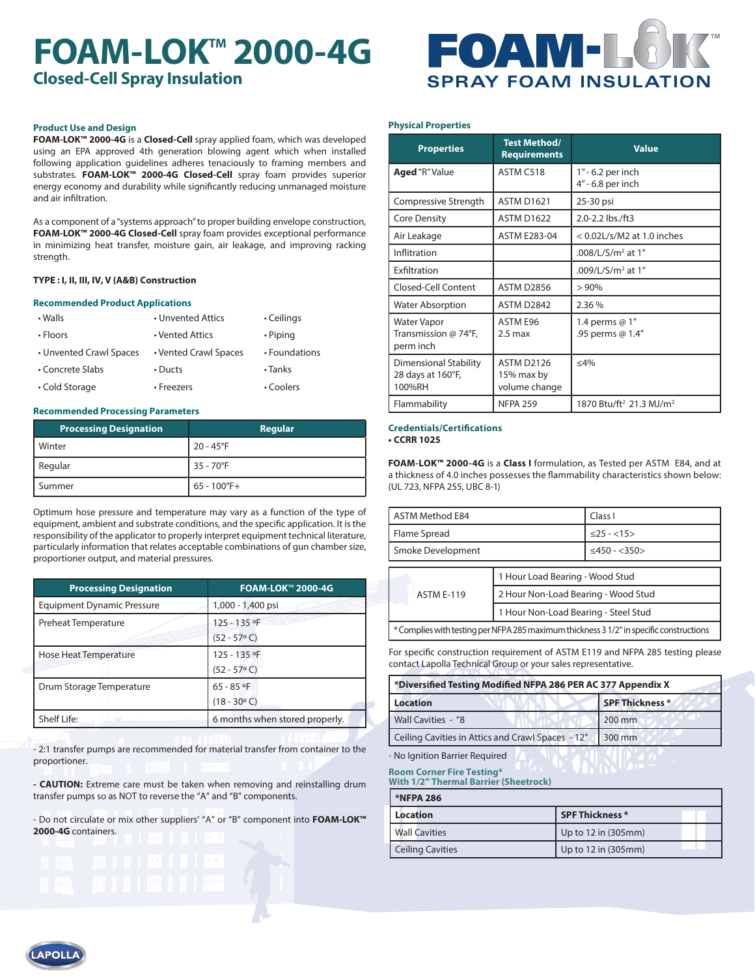# **FOAM-LOK<sup>™</sup> 2000-4G Closed-Cell Spray Insulation**



### **Product Use and Design**

**FOAM-LOK™ 2000-4G** is a **Closed-Cell** spray applied foam, which was developed using an EPA approved 4th generation blowing agent which when installed following application guidelines adheres tenaciously to framing members and substrates. **FOAM-LOK™ 2000-4G Closed-Cell** spray foam provides superior energy economy and durability while significantly reducing unmanaged moisture and air infiltration.

As a component of a "systems approach" to proper building envelope construction, **FOAM-LOK™ 2000-4G Closed-Cell** spray foam provides exceptional performance in minimizing heat transfer, moisture gain, air leakage, and improving racking strength.

### **TYPE : I, II, III, IV, V (A&B) Construction**

#### **Recommended Product Applications**

| • Walls                 | • Unvented Attics     | • Ceilings     |
|-------------------------|-----------------------|----------------|
| • Floors                | • Vented Attics       | $\cdot$ Piping |
| • Unvented Crawl Spaces | • Vented Crawl Spaces | • Foundations  |
| • Concrete Slabs        | $\cdot$ Ducts         | $\cdot$ Tanks  |
| • Cold Storage          | • Freezers            | • Coolers      |

#### **Recommended Processing Parameters**

| <b>Processing Designation</b> | Regular            |
|-------------------------------|--------------------|
| <b>Winter</b>                 | $20 - 45^{\circ}F$ |
| Regular                       | $35 - 70$ °F       |
| Summer                        | $65 - 100$ °F+     |

Optimum hose pressure and temperature may vary as a function of the type of equipment, ambient and substrate conditions, and the specific application. It is the responsibility of the applicator to properly interpret equipment technical literature, particularly information that relates acceptable combinations of gun chamber size, proportioner output, and material pressures.

| <b>Processing Designation</b>                             | <b>FOAM-LOK™ 2000-4G</b>       |
|-----------------------------------------------------------|--------------------------------|
| <b>Equipment Dynamic Pressure</b>                         | 1,000 - 1,400 psi              |
| Preheat Temperature                                       | 125 - 135 °F                   |
|                                                           | $(52 - 57°$ C)                 |
| Hose Heat Temperature                                     | 125 - 135 °F                   |
|                                                           | $(52 - 57° C)$                 |
| Drum Storage Temperature                                  | $65 - 85$ of                   |
|                                                           | $(18 - 30^{\circ} C)$          |
| Shelf Life:<br>and the company of the company of the com- | 6 months when stored properly. |

- 2:1 transfer pumps are recommended for material transfer from container to the proportioner.

**- CAUTION:** Extreme care must be taken when removing and reinstalling drum transfer pumps so as NOT to reverse the "A" and "B" components.

- Do not circulate or mix other suppliers' "A" or "B" component into **FOAM-LOK™ 2000-4G** containers.



**APOLI** 

#### **Physical Properties**

| <b>Properties</b>                                           | <b>Test Method/</b><br><b>Requirements</b> | <b>Value</b>                                    |
|-------------------------------------------------------------|--------------------------------------------|-------------------------------------------------|
| <b>Aged</b> "R" Value                                       | ASTM C518                                  | 1" - 6.2 per inch<br>4" - 6.8 per inch          |
| Compressive Strength                                        | <b>ASTM D1621</b>                          | 25-30 psi                                       |
| <b>Core Density</b>                                         | <b>ASTM D1622</b>                          | 2.0-2.2 lbs./ft3                                |
| Air Leakage                                                 | <b>ASTM E283-04</b>                        | < 0.02L/s/M2 at 1.0 inches                      |
| Inflitration                                                |                                            | .008/L/S/m <sup>2</sup> at 1"                   |
| Exfiltration                                                |                                            | .009/L/S/m <sup>2</sup> at $1''$                |
| Closed-Cell Content                                         | <b>ASTM D2856</b>                          | >90%                                            |
| <b>Water Absorption</b>                                     | ASTM D2842                                 | 2.36%                                           |
| <b>Water Vapor</b><br>Transmission @ 74°F,<br>perm inch     | ASTM E96<br>$2.5 \text{ max}$              | 1.4 perms @ 1"<br>.95 perms @ 1.4"              |
| <b>Dimensional Stability</b><br>28 days at 160°F,<br>100%RH | ASTM D2126<br>15% max by<br>volume change  | $<$ 4%                                          |
| Flammability                                                | <b>NFPA 259</b>                            | 1870 Btu/ft <sup>2</sup> 21.3 MJ/m <sup>2</sup> |

#### **Credentials/Certifications • CCRR 1025**

**FOAM-LOK™ 2000-4G** is a **Class I** formulation, as Tested per ASTM E84, and at a thickness of 4.0 inches possesses the flammability characteristics shown below: (UL 723, NFPA 255, UBC 8-1)

| <b>ASTM Method E84</b> |                                      | Class I             |  |  |
|------------------------|--------------------------------------|---------------------|--|--|
| Flame Spread           |                                      | $<$ 25 - $<$ 15 >   |  |  |
| Smoke Development      |                                      | $<$ 450 - $<$ 350 > |  |  |
|                        |                                      |                     |  |  |
| <b>ASTM F-119</b>      | 1 Hour Load Bearing - Wood Stud      |                     |  |  |
|                        | 2 Hour Non-Load Bearing - Wood Stud  |                     |  |  |
|                        | 1 Hour Non-Load Bearing - Steel Stud |                     |  |  |
|                        |                                      |                     |  |  |

\* Complies with testing per NFPA 285 maximum thickness 3 1/2" in specific constructions

For specific construction requirement of ASTM E119 and NFPA 285 testing please contact Lapolla Technical Group or your sales representative.

| *Diversified Testing Modified NFPA 286 PER AC 377 Appendix X |                 |  |  |  |  |
|--------------------------------------------------------------|-----------------|--|--|--|--|
| <b>Location</b>                                              | SPF Thickness * |  |  |  |  |
| Wall Cavities - "8                                           | 200 mm          |  |  |  |  |
| Ceiling Cavities in Attics and Crawl Spaces - 12"            | 300 mm          |  |  |  |  |
|                                                              |                 |  |  |  |  |

- No Ignition Barrier Required

**Room Corner Fire Testing\* With 1/2" Thermal Barrier (Sheetrock)**

| <b>*NFPA 286</b>        |                     |  |  |  |  |
|-------------------------|---------------------|--|--|--|--|
| <b>Location</b>         | SPF Thickness *     |  |  |  |  |
| <b>Wall Cavities</b>    | Up to 12 in (305mm) |  |  |  |  |
| <b>Ceiling Cavities</b> | Up to 12 in (305mm) |  |  |  |  |